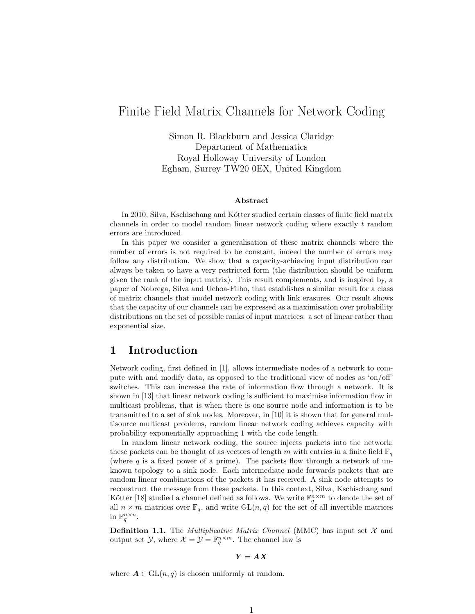# Finite Field Matrix Channels for Network Coding

Simon R. Blackburn and Jessica Claridge Department of Mathematics Royal Holloway University of London Egham, Surrey TW20 0EX, United Kingdom

#### Abstract

In 2010, Silva, Kschischang and Kötter studied certain classes of finite field matrix channels in order to model random linear network coding where exactly t random errors are introduced.

In this paper we consider a generalisation of these matrix channels where the number of errors is not required to be constant, indeed the number of errors may follow any distribution. We show that a capacity-achieving input distribution can always be taken to have a very restricted form (the distribution should be uniform given the rank of the input matrix). This result complements, and is inspired by, a paper of Nobrega, Silva and Uchoa-Filho, that establishes a similar result for a class of matrix channels that model network coding with link erasures. Our result shows that the capacity of our channels can be expressed as a maximisation over probability distributions on the set of possible ranks of input matrices: a set of linear rather than exponential size.

### 1 Introduction

Network coding, first defined in [1], allows intermediate nodes of a network to compute with and modify data, as opposed to the traditional view of nodes as 'on/off' switches. This can increase the rate of information flow through a network. It is shown in [13] that linear network coding is sufficient to maximise information flow in multicast problems, that is when there is one source node and information is to be transmitted to a set of sink nodes. Moreover, in [10] it is shown that for general multisource multicast problems, random linear network coding achieves capacity with probability exponentially approaching 1 with the code length.

In random linear network coding, the source injects packets into the network; these packets can be thought of as vectors of length m with entries in a finite field  $\mathbb{F}_q$ (where  $q$  is a fixed power of a prime). The packets flow through a network of unknown topology to a sink node. Each intermediate node forwards packets that are random linear combinations of the packets it has received. A sink node attempts to reconstruct the message from these packets. In this context, Silva, Kschischang and Kötter [18] studied a channel defined as follows. We write  $\mathbb{F}_q^{n \times m}$  to denote the set of all  $n \times m$  matrices over  $\mathbb{F}_q$ , and write  $GL(n, q)$  for the set of all invertible matrices in  $\mathbb{F}_q^{n \times n}$ .

**Definition 1.1.** The *Multiplicative Matrix Channel* (MMC) has input set  $\mathcal{X}$  and output set  $\mathcal{Y}$ , where  $\mathcal{X} = \mathcal{Y} = \mathbb{F}_q^{n \times m}$ . The channel law is

#### $Y = AX$

where  $\mathbf{A} \in \mathrm{GL}(n,q)$  is chosen uniformly at random.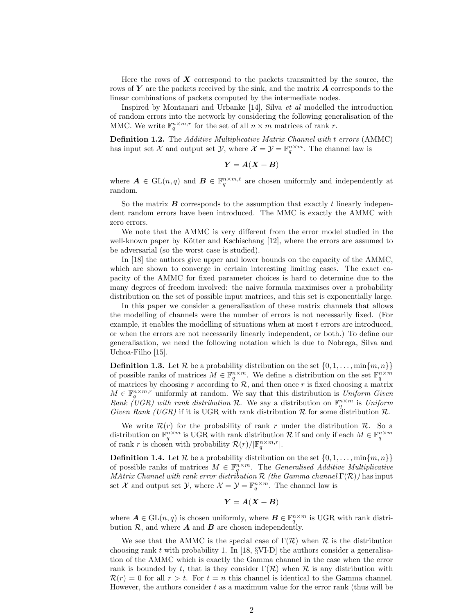Here the rows of  $\boldsymbol{X}$  correspond to the packets transmitted by the source, the rows of  $\boldsymbol{Y}$  are the packets received by the sink, and the matrix  $\boldsymbol{A}$  corresponds to the linear combinations of packets computed by the intermediate nodes.

Inspired by Montanari and Urbanke [14], Silva et al modelled the introduction of random errors into the network by considering the following generalisation of the MMC. We write  $\mathbb{F}_q^{n \times m,r}$  for the set of all  $n \times m$  matrices of rank r.

Definition 1.2. The Additive Multiplicative Matrix Channel with t errors (AMMC) has input set X and output set  $\mathcal{Y}$ , where  $\mathcal{X} = \mathcal{Y} = \mathbb{F}_q^{n \times m}$ . The channel law is

$$
Y = A(X + B)
$$

where  $\mathbf{A} \in GL(n,q)$  and  $\mathbf{B} \in \mathbb{F}_q^{n \times m,t}$  are chosen uniformly and independently at random.

So the matrix  $\boldsymbol{B}$  corresponds to the assumption that exactly  $t$  linearly independent random errors have been introduced. The MMC is exactly the AMMC with zero errors.

We note that the AMMC is very different from the error model studied in the well-known paper by Kötter and Kschischang  $[12]$ , where the errors are assumed to be adversarial (so the worst case is studied).

In [18] the authors give upper and lower bounds on the capacity of the AMMC, which are shown to converge in certain interesting limiting cases. The exact capacity of the AMMC for fixed parameter choices is hard to determine due to the many degrees of freedom involved: the naive formula maximises over a probability distribution on the set of possible input matrices, and this set is exponentially large.

In this paper we consider a generalisation of these matrix channels that allows the modelling of channels were the number of errors is not necessarily fixed. (For example, it enables the modelling of situations when at most  $t$  errors are introduced, or when the errors are not necessarily linearly independent, or both.) To define our generalisation, we need the following notation which is due to Nobrega, Silva and Uchoa-Filho [15].

**Definition 1.3.** Let  $\mathcal{R}$  be a probability distribution on the set  $\{0, 1, \ldots, \min\{m, n\}\}\$ of possible ranks of matrices  $M \in \mathbb{F}_q^{n \times m}$ . We define a distribution on the set  $\mathbb{F}_q^{n \times m}$  of matrices by choosing r according to  $\mathcal{R}$ , and then once r is fixed choosing a matrix  $M \in \mathbb{F}_q^{n \times m,r}$  uniformly at random. We say that this distribution is Uniform Given Rank (UGR) with rank distribution R. We say a distribution on  $\mathbb{F}_q^{n \times m}$  is Uniform Given Rank (UGR) if it is UGR with rank distribution  $R$  for some distribution  $R$ .

We write  $\mathcal{R}(r)$  for the probability of rank r under the distribution  $\mathcal{R}$ . So a distribution on  $\mathbb{F}_q^{n \times m}$  is UGR with rank distribution R if and only if each  $M \in \mathbb{F}_q^{n \times m}$ of rank r is chosen with probability  $\mathcal{R}(r)/\vert \mathbb{F}_q^{n \times m,r}\vert$ .

**Definition 1.4.** Let  $\mathcal{R}$  be a probability distribution on the set  $\{0, 1, \ldots, \min\{m, n\}\}\$ of possible ranks of matrices  $M \in \mathbb{F}_q^{n \times m}$ . The Generalised Additive Multiplicative MAtrix Channel with rank error distribution  $\mathcal R$  (the Gamma channel  $\Gamma(\mathcal R)$ ) has input set X and output set  $\mathcal{Y}$ , where  $\mathcal{X} = \mathcal{Y} = \mathbb{F}_q^{n \times m}$ . The channel law is

$$
\boldsymbol{Y} = \boldsymbol{A}(\boldsymbol{X} + \boldsymbol{B})
$$

where  $\mathbf{A} \in \text{GL}(n, q)$  is chosen uniformly, where  $\mathbf{B} \in \mathbb{F}_q^{n \times m}$  is UGR with rank distribution  $\mathcal{R}$ , and where **A** and **B** are chosen independently.

We see that the AMMC is the special case of  $\Gamma(\mathcal{R})$  when  $\mathcal R$  is the distribution choosing rank t with probability 1. In  $[18, \frac{6}{12}]$  the authors consider a generalisation of the AMMC which is exactly the Gamma channel in the case when the error rank is bounded by t, that is they consider  $\Gamma(\mathcal{R})$  when  $\mathcal R$  is any distribution with  $\mathcal{R}(r) = 0$  for all  $r > t$ . For  $t = n$  this channel is identical to the Gamma channel. However, the authors consider  $t$  as a maximum value for the error rank (thus will be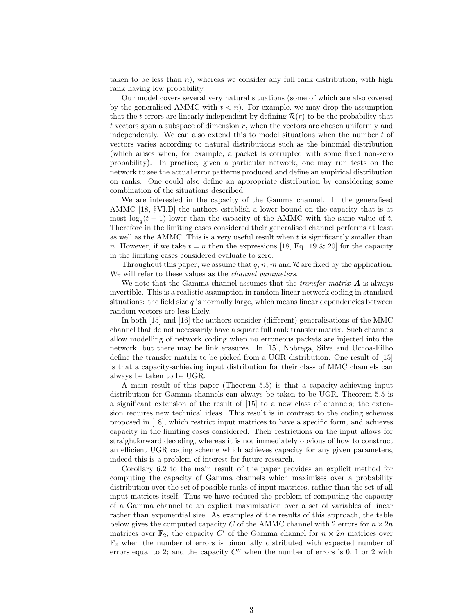taken to be less than  $n$ ), whereas we consider any full rank distribution, with high rank having low probability.

Our model covers several very natural situations (some of which are also covered by the generalised AMMC with  $t < n$ . For example, we may drop the assumption that the t errors are linearly independent by defining  $\mathcal{R}(r)$  to be the probability that  $t$  vectors span a subspace of dimension  $r$ , when the vectors are chosen uniformly and independently. We can also extend this to model situations when the number  $t$  of vectors varies according to natural distributions such as the binomial distribution (which arises when, for example, a packet is corrupted with some fixed non-zero probability). In practice, given a particular network, one may run tests on the network to see the actual error patterns produced and define an empirical distribution on ranks. One could also define an appropriate distribution by considering some combination of the situations described.

We are interested in the capacity of the Gamma channel. In the generalised AMMC [18, §VI.D] the authors establish a lower bound on the capacity that is at most  $\log_q(t+1)$  lower than the capacity of the AMMC with the same value of t. Therefore in the limiting cases considered their generalised channel performs at least as well as the AMMC. This is a very useful result when  $t$  is significantly smaller than n. However, if we take  $t = n$  then the expressions [18, Eq. 19 & 20] for the capacity in the limiting cases considered evaluate to zero.

Throughout this paper, we assume that  $q, n, m$  and  $\mathcal R$  are fixed by the application. We will refer to these values as the *channel parameters*.

We note that the Gamma channel assumes that the *transfer matrix*  $\boldsymbol{A}$  is always invertible. This is a realistic assumption in random linear network coding in standard situations: the field size  $q$  is normally large, which means linear dependencies between random vectors are less likely.

In both [15] and [16] the authors consider (different) generalisations of the MMC channel that do not necessarily have a square full rank transfer matrix. Such channels allow modelling of network coding when no erroneous packets are injected into the network, but there may be link erasures. In [15], Nobrega, Silva and Uchoa-Filho define the transfer matrix to be picked from a UGR distribution. One result of [15] is that a capacity-achieving input distribution for their class of MMC channels can always be taken to be UGR.

A main result of this paper (Theorem 5.5) is that a capacity-achieving input distribution for Gamma channels can always be taken to be UGR. Theorem 5.5 is a significant extension of the result of [15] to a new class of channels; the extension requires new technical ideas. This result is in contrast to the coding schemes proposed in [18], which restrict input matrices to have a specific form, and achieves capacity in the limiting cases considered. Their restrictions on the input allows for straightforward decoding, whereas it is not immediately obvious of how to construct an efficient UGR coding scheme which achieves capacity for any given parameters, indeed this is a problem of interest for future research.

Corollary 6.2 to the main result of the paper provides an explicit method for computing the capacity of Gamma channels which maximises over a probability distribution over the set of possible ranks of input matrices, rather than the set of all input matrices itself. Thus we have reduced the problem of computing the capacity of a Gamma channel to an explicit maximisation over a set of variables of linear rather than exponential size. As examples of the results of this approach, the table below gives the computed capacity C of the AMMC channel with 2 errors for  $n \times 2n$ matrices over  $\mathbb{F}_2$ ; the capacity C' of the Gamma channel for  $n \times 2n$  matrices over  $\mathbb{F}_2$  when the number of errors is binomially distributed with expected number of errors equal to 2; and the capacity  $C''$  when the number of errors is 0, 1 or 2 with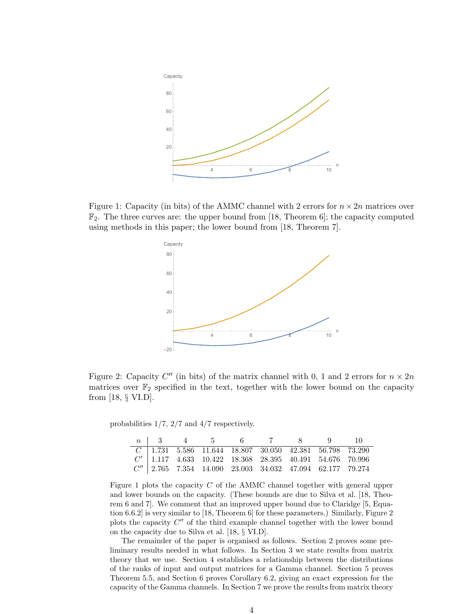

Figure 1: Capacity (in bits) of the AMMC channel with 2 errors for  $n \times 2n$  matrices over  $\mathbb{F}_2$ . The three curves are: the upper bound from [18, Theorem 6]; the capacity computed using methods in this paper; the lower bound from [18, Theorem 7].



Figure 2: Capacity  $C''$  (in bits) of the matrix channel with 0, 1 and 2 errors for  $n \times 2n$ matrices over  $\mathbb{F}_2$  specified in the text, together with the lower bound on the capacity from [18, § VI.D].

probabilities 1/7, 2/7 and 4/7 respectively.

|  |  | n   3   4   5   6   6   7   8   8   9   10                   |  |  |
|--|--|--------------------------------------------------------------|--|--|
|  |  | $C$ 1.731 5.586 11.644 18.807 30.050 42.381 56.798 73.290    |  |  |
|  |  | $C'$   1.117 4.633 10.422 18.368 28.395 40.491 54.676 70.996 |  |  |
|  |  | $C''$ 2.765 7.354 14.090 23.003 34.032 47.094 62.177 79.274  |  |  |

Figure 1 plots the capacity C of the AMMC channel together with general upper and lower bounds on the capacity. (These bounds are due to Silva et al. [18, Theorem 6 and 7]. We comment that an improved upper bound due to Claridge [5, Equation 6.6.2] is very similar to [18, Theorem 6] for these parameters.) Similarly, Figure 2 plots the capacity  $C''$  of the third example channel together with the lower bound on the capacity due to Silva et al. [18, § VI.D].

The remainder of the paper is organised as follows. Section 2 proves some preliminary results needed in what follows. In Section 3 we state results from matrix theory that we use. Section 4 establishes a relationship between the distributions of the ranks of input and output matrices for a Gamma channel. Section 5 proves Theorem 5.5, and Section 6 proves Corollary 6.2, giving an exact expression for the capacity of the Gamma channels. In Section 7 we prove the results from matrix theory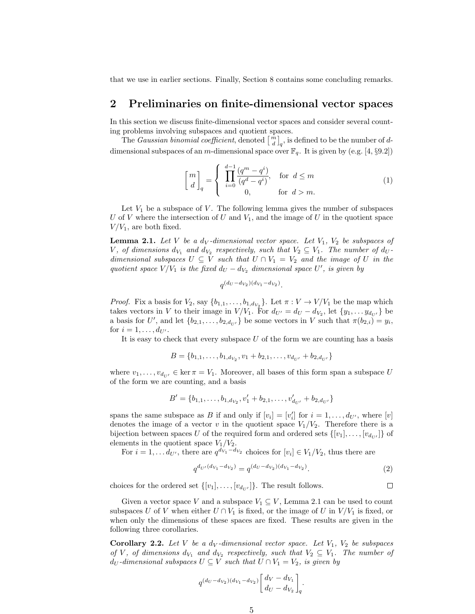that we use in earlier sections. Finally, Section 8 contains some concluding remarks.

#### 2 Preliminaries on finite-dimensional vector spaces

In this section we discuss finite-dimensional vector spaces and consider several counting problems involving subspaces and quotient spaces.

The *Gaussian binomial coefficient*, denoted  $\begin{bmatrix} m \\ d \end{bmatrix}_q$ , is defined to be the number of ddimensional subspaces of an m-dimensional space over  $\mathbb{F}_q$ . It is given by (e.g. [4, §9.2])

$$
\begin{bmatrix} m \\ d \end{bmatrix}_q = \begin{cases} \prod_{i=0}^{d-1} \frac{(q^m - q^i)}{(q^d - q^i)}, & \text{for } d \le m \\ 0, & \text{for } d > m. \end{cases}
$$
 (1)

Let  $V_1$  be a subspace of V. The following lemma gives the number of subspaces U of V where the intersection of U and  $V_1$ , and the image of U in the quotient space  $V/V_1$ , are both fixed.

**Lemma 2.1.** Let V be a d<sub>V</sub>-dimensional vector space. Let  $V_1$ ,  $V_2$  be subspaces of V, of dimensions  $d_{V_1}$  and  $d_{V_2}$  respectively, such that  $V_2 \subseteq V_1$ . The number of  $d_U$ dimensional subspaces  $U \subseteq V$  such that  $U \cap V_1 = V_2$  and the image of U in the quotient space  $V/V_1$  is the fixed  $d_U - d_{V_2}$  dimensional space U', is given by

$$
q^{(d_U - d_{V_2})(d_{V_1} - d_{V_2})}.
$$

*Proof.* Fix a basis for  $V_2$ , say  $\{b_{1,1}, \ldots, b_{1,d_{V_2}}\}$ . Let  $\pi : V \to V/V_1$  be the map which takes vectors in V to their image in  $V/V_1$ . For  $d_{U'} = d_U - d_{V_2}$ , let  $\{y_1, \ldots, y_{d_{U'}}\}$  be a basis for U', and let  ${b_{2,1}, \ldots, b_{2,d_{U'}}}$  be some vectors in V such that  $\pi(b_{2,i}) = y_i$ , for  $i = 1, ..., d_{U'}$ .

It is easy to check that every subspace  $U$  of the form we are counting has a basis

$$
B = \{b_{1,1}, \ldots, b_{1,d_{V_2}}, v_1 + b_{2,1}, \ldots, v_{d_{U'}} + b_{2,d_{U'}}\}
$$

where  $v_1, \ldots, v_{d_{U'}} \in \ker \pi = V_1$ . Moreover, all bases of this form span a subspace U of the form we are counting, and a basis

$$
B' = \{b_{1,1}, \ldots, b_{1,d_{V_2}}, v'_1 + b_{2,1}, \ldots, v'_{d_{U'}} + b_{2,d_{U'}}\}
$$

spans the same subspace as B if and only if  $[v_i] = [v'_i]$  for  $i = 1, ..., d_{U'}$ , where  $[v]$ denotes the image of a vector v in the quotient space  $V_1/V_2$ . Therefore there is a bijection between spaces U of the required form and ordered sets  $\{[v_1], \ldots, [v_{d_{U'}}]\}$  of elements in the quotient space  $V_1/V_2$ .

For  $i = 1, \ldots d_{U'}$ , there are  $q^{d_{V_1} - d_{V_2}}$  choices for  $[v_i] \in V_1/V_2$ , thus there are

$$
q^{d_{U'}(d_{V_1} - d_{V_2})} = q^{(d_U - d_{V_2})(d_{V_1} - d_{V_2})}.
$$
\n(2)

 $\Box$ 

choices for the ordered set  $\{[v_1], \ldots, [v_{d_{U'}}]\}$ . The result follows.

Given a vector space V and a subspace  $V_1 \subseteq V$ , Lemma 2.1 can be used to count subspaces U of V when either  $U \cap V_1$  is fixed, or the image of U in  $V/V_1$  is fixed, or when only the dimensions of these spaces are fixed. These results are given in the following three corollaries.

**Corollary 2.2.** Let V be a d<sub>V</sub>-dimensional vector space. Let  $V_1$ ,  $V_2$  be subspaces of V, of dimensions  $d_{V_1}$  and  $d_{V_2}$  respectively, such that  $V_2 \subseteq V_1$ . The number of  $d_U$ -dimensional subspaces  $U \subseteq V$  such that  $U \cap V_1 = V_2$ , is given by

$$
q^{(d_U - d_{V_2})(d_{V_1} - d_{V_2})} \begin{bmatrix} d_V - d_{V_1} \\ d_U - d_{V_2} \end{bmatrix}_q.
$$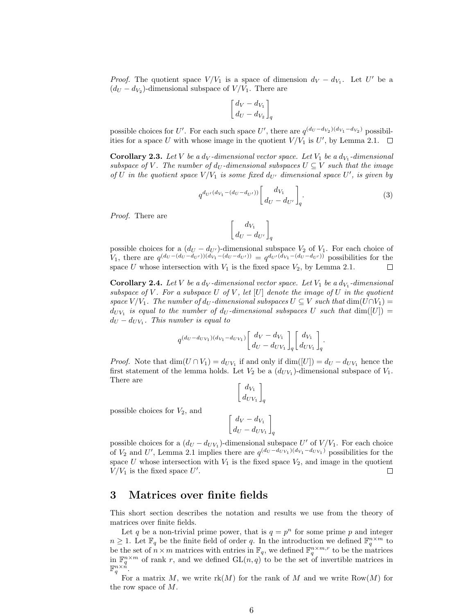*Proof.* The quotient space  $V/V_1$  is a space of dimension  $d_V - d_{V_1}$ . Let U' be a  $(d_U - d_{V_2})$ -dimensional subspace of  $V/V_1$ . There are

$$
\begin{bmatrix} d_V - d_{V_1} \\ d_U - d_{V_2} \end{bmatrix}_q
$$

possible choices for U'. For each such space U', there are  $q^{(d_U-d_{V_2})(d_{V_1}-d_{V_2})}$  possibilities for a space U with whose image in the quotient  $V/V_1$  is U', by Lemma 2.1.

**Corollary 2.3.** Let V be a d<sub>V</sub>-dimensional vector space. Let  $V_1$  be a d<sub>V<sub>1</sub></sub>-dimensional subspace of V. The number of  $d_U$ -dimensional subspaces  $U \subseteq V$  such that the image of U in the quotient space  $V/V_1$  is some fixed  $d_{U'}$  dimensional space U', is given by

$$
q^{d_{U'}(d_{V_1} - (d_U - d_{U'}))} \begin{bmatrix} d_{V_1} \\ d_U - d_{U'} \end{bmatrix}_q.
$$
 (3)

Proof. There are

$$
\left[{d_{V_1}\atop d_U-d_{U'}}\right]_q
$$

possible choices for a  $(d_U - d_{U'})$ -dimensional subspace  $V_2$  of  $V_1$ . For each choice of  $V_1$ , there are  $q^{(d_U - (d_U - d_{U'}))(d_{V_1} - (d_U - d_{U'}))} = q^{d_{U'}(d_{V_1} - (d_U - d_{U'}))}$  possibilities for the space U whose intersection with  $V_1$  is the fixed space  $V_2$ , by Lemma 2.1.  $\Box$ 

**Corollary 2.4.** Let V be a d<sub>V</sub>-dimensional vector space. Let  $V_1$  be a d<sub>V<sub>1</sub></sub>-dimensional subspace of V. For a subspace U of V, let  $[U]$  denote the image of U in the quotient space  $V/V_1$ . The number of d<sub>U</sub>-dimensional subspaces  $U \subseteq V$  such that  $\dim(U \cap V_1) =$  $d_{UV_1}$  is equal to the number of  $d_U$ -dimensional subspaces U such that  $dim([U]) =$  $d_U - d_{UV_1}$ . This number is equal to

$$
q^{(d_U - d_{UV_1})(d_{V_1} - d_{UV_1})} \begin{bmatrix} d_V - d_{V_1} \ d_U - d_{UV_1} \end{bmatrix}_q \begin{bmatrix} d_{V_1} \ d_{UV_1} \end{bmatrix}_q.
$$

*Proof.* Note that  $\dim(U \cap V_1) = d_{UV_1}$  if and only if  $\dim([U]) = d_U - d_{UV_1}$  hence the first statement of the lemma holds. Let  $V_2$  be a  $(d_{UV_1})$ -dimensional subspace of  $V_1$ . There are

$$
\left[\begin{array}{c}d_{V_1}\\d_{UV_1}\end{array}\right]_q
$$

possible choices for  $V_2$ , and

$$
\left[\frac{d_V - d_{V_1}}{d_U - d_{UV_1}}\right]_q
$$

possible choices for a  $(d_U - d_{UV_1})$ -dimensional subspace  $U'$  of  $V/V_1$ . For each choice of  $V_2$  and U', Lemma 2.1 implies there are  $q^{(d_U - d_{UV_1})(d_{V_1} - d_{UV_1})}$  possibilities for the space U whose intersection with  $V_1$  is the fixed space  $V_2$ , and image in the quotient  $V/V_1$  is the fixed space U'.  $\Box$ 

#### 3 Matrices over finite fields

This short section describes the notation and results we use from the theory of matrices over finite fields.

Let q be a non-trivial prime power, that is  $q = p^n$  for some prime p and integer  $n \geq 1$ . Let  $\mathbb{F}_q$  be the finite field of order q. In the introduction we defined  $\mathbb{F}_q^{n \times m}$  to be the set of  $n \times m$  matrices with entries in  $\mathbb{F}_q$ , we defined  $\mathbb{F}_q^{n \times m,r}$  to be the matrices be the matrices in  $\mathbb{F}_q^{n \times m}$  of rank r, and we defined  $GL(n, q)$  to be the set of invertible matrices in  $\mathbb{F}_q^{n \times n}$ .

For a matrix M, we write  $rk(M)$  for the rank of M and we write  $Row(M)$  for the row space of M.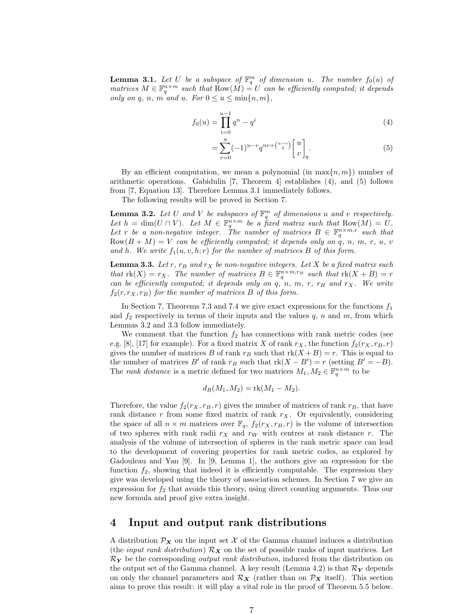**Lemma 3.1.** Let U be a subspace of  $\mathbb{F}_q^m$  of dimension u. The number  $f_0(u)$  of matrices  $M \in \mathbb{F}_q^{n \times m}$  such that  $Row(M) = U$  can be efficiently computed; it depends only on q, n, m and u. For  $0 \le u \le \min\{n, m\}$ ,

$$
f_0(u) = \prod_{i=0}^{u-1} q^n - q^i
$$
 (4)

$$
=\sum_{v=0}^{u}(-1)^{u-v}q^{nv+\binom{u-v}{2}}\begin{bmatrix}u\\v\end{bmatrix}_q.
$$
\n(5)

By an efficient computation, we mean a polynomial (in  $\max\{n, m\}$ ) number of arithmetic operations. Gabidulin [7, Theorem 4] establishes  $(4)$ , and  $(5)$  follows from [7, Equation 13]. Therefore Lemma 3.1 immediately follows.

The following results will be proved in Section 7.

**Lemma 3.2.** Let U and V be subspaces of  $\mathbb{F}_q^m$  of dimensions u and v respectively. Let  $h = \dim(U \cap V)$ . Let  $M \in \mathbb{F}_q^{n \times m}$  be a fixed matrix such that  $Row(M) = U$ . Let r be a non-negative integer. The number of matrices  $B \in \mathbb{F}_q^{n \times m,r}$  such that  $Row(B + M) = V$  can be efficiently computed; it depends only on q, n, m, r, u, v and h. We write  $f_1(u, v, h; r)$  for the number of matrices B of this form.

**Lemma 3.3.** Let r,  $r_B$  and  $r_X$  be non-negative integers. Let X be a fixed matrix such that  $rk(X) = r_X$ . The number of matrices  $B \in \mathbb{F}_q^{n \times m, r_B}$  such that  $rk(X + B) = r$ can be efficiently computed; it depends only on q, n, m, r,  $r_B$  and  $r_X$ . We write  $f_2(r, r_X, r_B)$  for the number of matrices B of this form.

In Section 7, Theorems 7.3 and 7.4 we give exact expressions for the functions  $f_1$ and  $f_2$  respectively in terms of their inputs and the values q, n and m, from which Lemmas 3.2 and 3.3 follow immediately.

We comment that the function  $f_2$  has connections with rank metric codes (see e.g. [8], [17] for example). For a fixed matrix X of rank  $r_X$ , the function  $f_2(r_X, r_B, r)$ gives the number of matrices B of rank  $r_B$  such that  $rk(X + B) = r$ . This is equal to the number of matrices B' of rank  $r_B$  such that  $rk(X - B') = r$  (setting  $B' = -B$ ). The *rank distance* is a metric defined for two matrices  $M_1, M_2 \in \mathbb{F}_q^{n \times m}$  to be

$$
d_R(M_1, M_2) = \text{rk}(M_1 - M_2).
$$

Therefore, the value  $f_2(r_X, r_B, r)$  gives the number of matrices of rank  $r_B$ , that have rank distance  $r$  from some fixed matrix of rank  $r<sub>X</sub>$ . Or equivalently, considering the space of all  $n \times m$  matrices over  $\mathbb{F}_q$ ,  $f_2(r_X, r_B, r)$  is the volume of intersection of two spheres with rank radii  $r_X$  and  $r_W$  with centres at rank distance r. The analysis of the volume of intersection of spheres in the rank metric space can lead to the development of covering properties for rank metric codes, as explored by Gadouleau and Yan [9]. In [9, Lemma 1], the authors give an expression for the function  $f_2$ , showing that indeed it is efficiently computable. The expression they give was developed using the theory of association schemes. In Section 7 we give an expression for  $f_2$  that avoids this theory, using direct counting arguments. Thus our new formula and proof give extra insight.

#### 4 Input and output rank distributions

A distribution  $\mathcal{P}_X$  on the input set X of the Gamma channel induces a distribution (the *input rank distribution*)  $\mathcal{R}_X$  on the set of possible ranks of input matrices. Let  $\mathcal{R}_Y$  be the corresponding *output rank distribution*, induced from the distribution on the output set of the Gamma channel. A key result (Lemma 4.2) is that  $\mathcal{R}_Y$  depends on only the channel parameters and  $\mathcal{R}_X$  (rather than on  $\mathcal{P}_X$  itself). This section aims to prove this result: it will play a vital role in the proof of Theorem 5.5 below.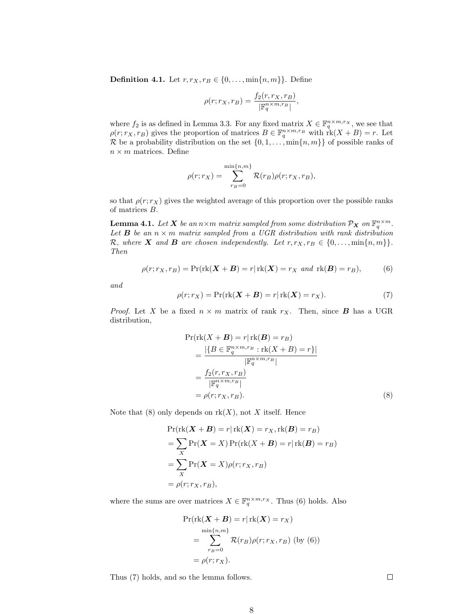**Definition 4.1.** Let  $r, r_X, r_B \in \{0, \ldots, \min\{n, m\}\}\.$  Define

$$
\rho(r;r_X,r_B) = \frac{f_2(r,r_X,r_B)}{|\mathbb{F}_q^{n \times m, r_B}|},
$$

where  $f_2$  is as defined in Lemma 3.3. For any fixed matrix  $X \in \mathbb{F}_q^{n \times m,r_X}$ , we see that  $\rho(r;r_X,r_B)$  gives the proportion of matrices  $B \in \mathbb{F}_q^{n \times m,r_B}$  with  $\mathrm{rk}(X+B)=r$ . Let R be a probability distribution on the set  $\{0, 1, \ldots, \min\{n, m\}\}\$  of possible ranks of  $n \times m$  matrices. Define

$$
\rho(r;r_X) = \sum_{r_B=0}^{\min\{n,m\}} \mathcal{R}(r_B)\rho(r;r_X,r_B),
$$

so that  $\rho(r; r_X)$  gives the weighted average of this proportion over the possible ranks of matrices B.

**Lemma 4.1.** Let **X** be an  $n \times m$  matrix sampled from some distribution  $\mathcal{P}_X$  on  $\mathbb{F}_q^{n \times m}$ . Let **B** be an  $n \times m$  matrix sampled from a UGR distribution with rank distribution R, where X and B are chosen independently. Let  $r, r_X, r_B \in \{0, \ldots, \min\{n, m\}\}.$ Then

$$
\rho(r; r_X, r_B) = \Pr(\text{rk}(\boldsymbol{X} + \boldsymbol{B}) = r | \text{rk}(\boldsymbol{X}) = r_X \text{ and } \text{rk}(\boldsymbol{B}) = r_B),
$$
(6)

and

$$
\rho(r; r_X) = \Pr(\text{rk}(X + B) = r | \text{rk}(X) = r_X). \tag{7}
$$

*Proof.* Let X be a fixed  $n \times m$  matrix of rank  $r_X$ . Then, since **B** has a UGR distribution,

$$
\Pr(\text{rk}(X + B) = r | \text{rk}(B) = r_B)
$$
\n
$$
= \frac{|\{B \in \mathbb{F}_q^{n \times m, rs} : \text{rk}(X + B) = r\}|}{|\mathbb{F}_q^{n \times m, r_B}|}
$$
\n
$$
= \frac{f_2(r, r_X, r_B)}{|\mathbb{F}_q^{n \times m, r_B}|}
$$
\n
$$
= \rho(r; r_X, r_B).
$$
\n(8)

Note that  $(8)$  only depends on  $rk(X)$ , not X itself. Hence

$$
\Pr(\text{rk}(X + B) = r | \text{rk}(X) = r_X, \text{rk}(B) = r_B)
$$
  
= 
$$
\sum_{X} \Pr(X = X) \Pr(\text{rk}(X + B) = r | \text{rk}(B) = r_B)
$$
  
= 
$$
\sum_{X} \Pr(X = X) \rho(r; r_X, r_B)
$$
  
= 
$$
\rho(r; r_X, r_B),
$$

where the sums are over matrices  $X \in \mathbb{F}_q^{n \times m,r_X}$ . Thus (6) holds. Also

$$
\Pr(\text{rk}(\boldsymbol{X} + \boldsymbol{B}) = r | \text{rk}(\boldsymbol{X}) = r_{X})
$$

$$
= \sum_{r_{B}=0}^{\min\{n,m\}} \mathcal{R}(r_{B}) \rho(r; r_{X}, r_{B}) \text{ (by (6))}
$$

$$
= \rho(r; r_{X}).
$$

Thus (7) holds, and so the lemma follows.

 $\Box$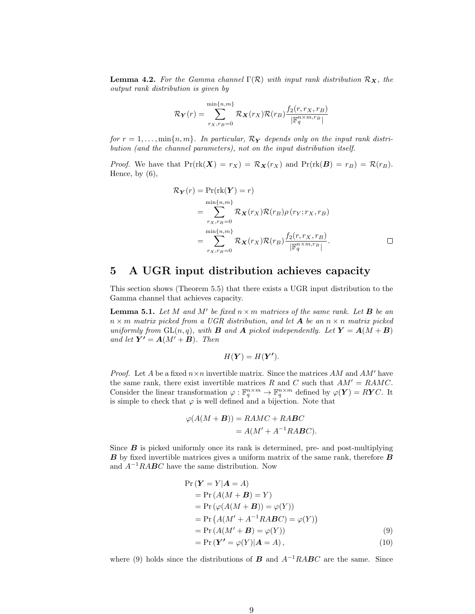**Lemma 4.2.** For the Gamma channel  $\Gamma(\mathcal{R})$  with input rank distribution  $\mathcal{R}_{\mathbf{X}}$ , the output rank distribution is given by

$$
\mathcal{R}_{\boldsymbol{Y}}(r) = \sum_{r_X, r_B=0}^{\min\{n,m\}} \mathcal{R}_{\boldsymbol{X}}(r_X) \mathcal{R}(r_B) \frac{f_2(r,r_X,r_B)}{|\mathbb{F}_q^{n \times m, r_B}|}
$$

for  $r = 1, \ldots, \min\{n, m\}$ . In particular,  $\mathcal{R}_{\mathbf{Y}}$  depends only on the input rank distribution (and the channel parameters), not on the input distribution itself.

*Proof.* We have that  $Pr(rk(X) = r_X) = \mathcal{R}_X(r_X)$  and  $Pr(rk(B) = r_B) = \mathcal{R}(r_B)$ . Hence, by  $(6)$ ,

$$
\mathcal{R}_{\mathbf{Y}}(r) = \Pr(\text{rk}(\mathbf{Y}) = r)
$$
  
\n
$$
= \sum_{r_X, r_B = 0}^{\min\{n, m\}} \mathcal{R}_{\mathbf{X}}(r_X) \mathcal{R}(r_B) \rho(r_Y; r_X, r_B)
$$
  
\n
$$
= \sum_{r_X, r_B = 0}^{\min\{n, m\}} \mathcal{R}_{\mathbf{X}}(r_X) \mathcal{R}(r_B) \frac{f_2(r, r_X, r_B)}{|\mathbb{F}_q^{n \times m, r_B}|}. \qquad \Box
$$

# 5 A UGR input distribution achieves capacity

This section shows (Theorem 5.5) that there exists a UGR input distribution to the Gamma channel that achieves capacity.

**Lemma 5.1.** Let M and M' be fixed  $n \times m$  matrices of the same rank. Let **B** be an  $n \times m$  matrix picked from a UGR distribution, and let **A** be an  $n \times n$  matrix picked uniformly from  $GL(n, q)$ , with **B** and **A** picked independently. Let  $\mathbf{Y} = \mathbf{A}(M + \mathbf{B})$ and let  $Y' = A(M' + B)$ . Then

$$
H(\boldsymbol{Y}) = H(\boldsymbol{Y'}).
$$

*Proof.* Let A be a fixed  $n \times n$  invertible matrix. Since the matrices AM and AM' have the same rank, there exist invertible matrices R and C such that  $AM' = RAMC$ . Consider the linear transformation  $\varphi : \mathbb{F}_q^{n \times m} \to \mathbb{F}_q^{n \times m}$  defined by  $\varphi(Y) = RYC$ . It is simple to check that  $\varphi$  is well defined and a bijection. Note that

$$
\varphi(A(M + B)) = RAMC + RABC
$$
  
=  $A(M' + A^{-1}RABC)$ .

Since  $\boldsymbol{B}$  is picked uniformly once its rank is determined, pre- and post-multiplying B by fixed invertible matrices gives a uniform matrix of the same rank, therefore B and  $A^{-1}RABC$  have the same distribution. Now

$$
Pr(Y = Y|A = A)
$$
  
= Pr (A(M + B) = Y)  
= Pr (\varphi(A(M + B)) = \varphi(Y))  
= Pr (A(M' + A^{-1}RABC) = \varphi(Y))  
= Pr (A(M' + B) = \varphi(Y))  
= Pr (Y' = \varphi(Y)|A = A), (10)

where (9) holds since the distributions of **B** and  $A^{-1}RABC$  are the same. Since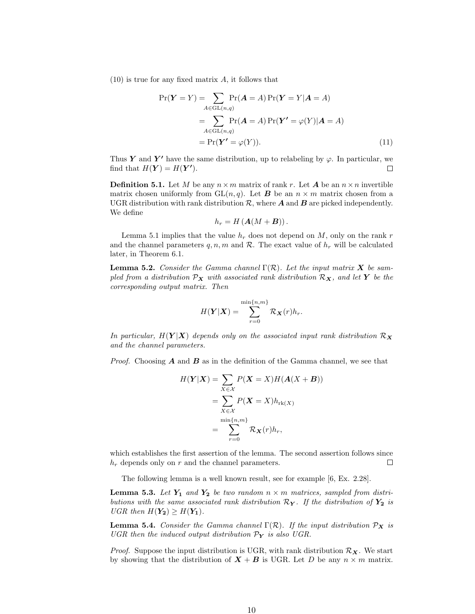$(10)$  is true for any fixed matrix A, it follows that

$$
\Pr(\boldsymbol{Y} = Y) = \sum_{A \in \text{GL}(n,q)} \Pr(\boldsymbol{A} = A) \Pr(\boldsymbol{Y} = Y | \boldsymbol{A} = A)
$$

$$
= \sum_{A \in \text{GL}(n,q)} \Pr(\boldsymbol{A} = A) \Pr(\boldsymbol{Y}' = \varphi(Y) | \boldsymbol{A} = A)
$$

$$
= \Pr(\boldsymbol{Y}' = \varphi(Y)). \tag{11}
$$

Thus Y and Y' have the same distribution, up to relabeling by  $\varphi$ . In particular, we find that  $H(Y) = H(Y')$ .  $\Box$ 

**Definition 5.1.** Let M be any  $n \times m$  matrix of rank r. Let A be an  $n \times n$  invertible matrix chosen uniformly from  $GL(n, q)$ . Let **B** be an  $n \times m$  matrix chosen from a UGR distribution with rank distribution  $\mathcal{R}$ , where  $\mathcal{A}$  and  $\mathcal{B}$  are picked independently. We define

$$
h_r = H\left(\mathbf{A}(M + \mathbf{B})\right).
$$

Lemma 5.1 implies that the value  $h_r$  does not depend on M, only on the rank r and the channel parameters q, n, m and  $\mathcal{R}$ . The exact value of  $h_r$  will be calculated later, in Theorem 6.1.

**Lemma 5.2.** Consider the Gamma channel  $\Gamma(\mathcal{R})$ . Let the input matrix **X** be sampled from a distribution  $\mathcal{P}_X$  with associated rank distribution  $\mathcal{R}_X$ , and let Y be the corresponding output matrix. Then

$$
H(\boldsymbol{Y}|\boldsymbol{X}) = \sum_{r=0}^{\min\{n,m\}} \mathcal{R}_{\boldsymbol{X}}(r) h_r.
$$

In particular,  $H(Y|X)$  depends only on the associated input rank distribution  $\mathcal{R}_X$ and the channel parameters.

*Proof.* Choosing  $A$  and  $B$  as in the definition of the Gamma channel, we see that

$$
H(\mathbf{Y}|\mathbf{X}) = \sum_{X \in \mathcal{X}} P(\mathbf{X} = X) H(\mathbf{A}(X + \mathbf{B}))
$$
  
= 
$$
\sum_{X \in \mathcal{X}} P(\mathbf{X} = X) h_{\text{rk}(X)}
$$
  
= 
$$
\sum_{r=0}^{\min\{n,m\}} \mathcal{R}_{\mathbf{X}}(r) h_r,
$$

which establishes the first assertion of the lemma. The second assertion follows since  $h_r$  depends only on r and the channel parameters.  $\Box$ 

The following lemma is a well known result, see for example [6, Ex. 2.28].

**Lemma 5.3.** Let  $Y_1$  and  $Y_2$  be two random  $n \times m$  matrices, sampled from distributions with the same associated rank distribution  $\mathcal{R}_{\mathbf{Y}}$ . If the distribution of  $\mathbf{Y_2}$  is UGR then  $H(Y_2) \geq H(Y_1)$ .

**Lemma 5.4.** Consider the Gamma channel  $\Gamma(\mathcal{R})$ . If the input distribution  $\mathcal{P}_X$  is UGR then the induced output distribution  $\mathcal{P}_{\mathbf{Y}}$  is also UGR.

*Proof.* Suppose the input distribution is UGR, with rank distribution  $\mathcal{R}_{\mathbf{X}}$ . We start by showing that the distribution of  $X + B$  is UGR. Let D be any  $n \times m$  matrix.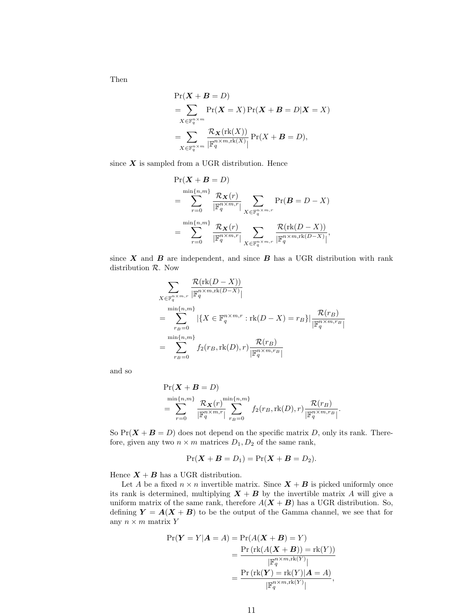Then

$$
\Pr(\boldsymbol{X} + \boldsymbol{B} = D)
$$
\n
$$
= \sum_{X \in \mathbb{F}_q^{n \times m}} \Pr(\boldsymbol{X} = X) \Pr(\boldsymbol{X} + \boldsymbol{B} = D | \boldsymbol{X} = X)
$$
\n
$$
= \sum_{X \in \mathbb{F}_q^{n \times m}} \frac{\mathcal{R}_X(\text{rk}(X))}{|\mathbb{F}_q^{n \times m, \text{rk}(X)}|} \Pr(X + \boldsymbol{B} = D),
$$

since  $X$  is sampled from a UGR distribution. Hence

$$
\Pr(X + B = D)
$$
\n
$$
= \sum_{r=0}^{\min\{n,m\}} \frac{\mathcal{R}_X(r)}{|\mathbb{F}_q^{n \times m,r}|} \sum_{X \in \mathbb{F}_q^{n \times m,r}} \Pr(B = D - X)
$$
\n
$$
= \sum_{r=0}^{\min\{n,m\}} \frac{\mathcal{R}_X(r)}{|\mathbb{F}_q^{n \times m,r}|} \sum_{X \in \mathbb{F}_q^{n \times m,r}} \frac{\mathcal{R}(\text{rk}(D - X))}{|\mathbb{F}_q^{n \times m,\text{rk}(D - X)}|},
$$

since  $X$  and  $B$  are independent, and since  $B$  has a UGR distribution with rank distribution R. Now

$$
\sum_{X \in \mathbb{F}_q^{n \times m,r}} \frac{\mathcal{R}(\text{rk}(D-X))}{|\mathbb{F}_q^{n \times m,rk(D-X)}|}
$$
\n
$$
= \sum_{r_B=0}^{\min\{n,m\}} |\{X \in \mathbb{F}_q^{n \times m,r} : \text{rk}(D-X) = r_B\}| \frac{\mathcal{R}(r_B)}{|\mathbb{F}_q^{n \times m,r_B}|}
$$
\n
$$
= \sum_{r_B=0}^{\min\{n,m\}} f_2(r_B, \text{rk}(D), r) \frac{\mathcal{R}(r_B)}{|\mathbb{F}_q^{n \times m,r_B}|}
$$

and so

$$
\Pr(\mathbf{X} + \mathbf{B} = D)
$$
  
= 
$$
\sum_{r=0}^{\min\{n,m\}} \frac{\mathcal{R}_{\mathbf{X}}(r)^{\min\{n,m\}}}{\left|\mathbb{F}_q^{n \times m,r}\right|} \sum_{r_B=0}^{\min\{n,m\}} f_2(r_B, \text{rk}(D), r) \frac{\mathcal{R}(r_B)}{\left|\mathbb{F}_q^{n \times m, r_B}\right|}.
$$

So  $Pr(X + B = D)$  does not depend on the specific matrix D, only its rank. Therefore, given any two  $n \times m$  matrices  $D_1, D_2$  of the same rank,

$$
Pr(\boldsymbol{X} + \boldsymbol{B} = D_1) = Pr(\boldsymbol{X} + \boldsymbol{B} = D_2).
$$

Hence  $X + B$  has a UGR distribution.

Let A be a fixed  $n \times n$  invertible matrix. Since  $X + B$  is picked uniformly once its rank is determined, multiplying  $X + B$  by the invertible matrix A will give a uniform matrix of the same rank, therefore  $A(X + B)$  has a UGR distribution. So, defining  $Y = A(X + B)$  to be the output of the Gamma channel, we see that for any  $n \times m$  matrix Y

$$
\Pr(\boldsymbol{Y} = Y | \boldsymbol{A} = A) = \Pr(A(\boldsymbol{X} + \boldsymbol{B}) = Y)
$$
  
= 
$$
\frac{\Pr(\text{rk}(A(\boldsymbol{X} + \boldsymbol{B})) = \text{rk}(Y))}{|\mathbb{F}_{q}^{n \times m, \text{rk}(Y)}|}
$$
  
= 
$$
\frac{\Pr(\text{rk}(\boldsymbol{Y}) = \text{rk}(Y)|\boldsymbol{A} = A)}{|\mathbb{F}_{q}^{n \times m, \text{rk}(Y)}|},
$$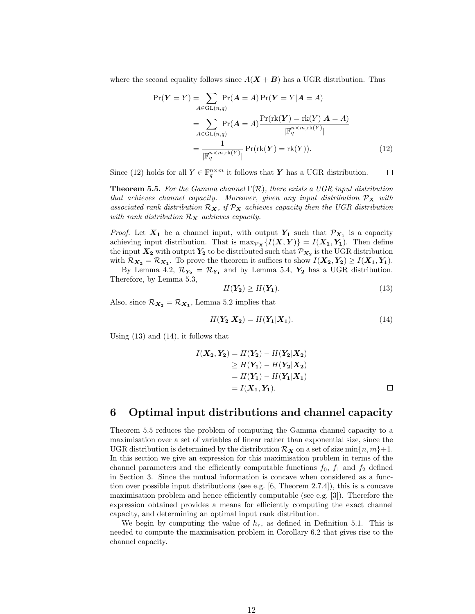where the second equality follows since  $A(X + B)$  has a UGR distribution. Thus

$$
Pr(\boldsymbol{Y} = Y) = \sum_{A \in GL(n,q)} Pr(\boldsymbol{A} = A) Pr(\boldsymbol{Y} = Y | \boldsymbol{A} = A)
$$
  
= 
$$
\sum_{A \in GL(n,q)} Pr(\boldsymbol{A} = A) \frac{Pr(rk(\boldsymbol{Y}) = rk(Y)|\boldsymbol{A} = A)}{|\mathbb{F}_q^{n \times m, rk(Y)}|}
$$
  
= 
$$
\frac{1}{|\mathbb{F}_q^{n \times m, rk(Y)}|} Pr(rk(\boldsymbol{Y}) = rk(Y)).
$$
 (12)

Since (12) holds for all  $Y \in \mathbb{F}_q^{n \times m}$  it follows that Y has a UGR distribution.  $\Box$ 

**Theorem 5.5.** For the Gamma channel  $\Gamma(\mathcal{R})$ , there exists a UGR input distribution that achieves channel capacity. Moreover, given any input distribution  $\mathcal{P}_{\mathbf{X}}$  with associated rank distribution  $\mathcal{R}_X$ , if  $\mathcal{P}_X$  achieves capacity then the UGR distribution with rank distribution  $\mathcal{R}_{\mathbf{X}}$  achieves capacity.

*Proof.* Let  $X_1$  be a channel input, with output  $Y_1$  such that  $\mathcal{P}_{X_1}$  is a capacity achieving input distribution. That is  $\max_{\mathcal{P}_{\mathbf{X}}}\{I(\mathbf{X},\mathbf{Y})\}=I(\mathbf{X}_1,\mathbf{Y}_1)$ . Then define the input  $X_2$  with output  $Y_2$  to be distributed such that  $\mathcal{P}_{X_2}$  is the UGR distribution with  $\mathcal{R}_{X_2} = \mathcal{R}_{X_1}$ . To prove the theorem it suffices to show  $I(X_2, Y_2) \ge I(X_1, Y_1)$ .

By Lemma 4.2,  $\mathcal{R}_{Y_2} = \mathcal{R}_{Y_1}$  and by Lemma 5.4,  $Y_2$  has a UGR distribution. Therefore, by Lemma 5.3,

$$
H(\mathbf{Y_2}) \ge H(\mathbf{Y_1}).\tag{13}
$$

Also, since  $\mathcal{R}_{X_2} = \mathcal{R}_{X_1}$ , Lemma 5.2 implies that

$$
H(\mathbf{Y_2}|\mathbf{X_2}) = H(\mathbf{Y_1}|\mathbf{X_1}).\tag{14}
$$

Using (13) and (14), it follows that

$$
I(X_2, Y_2) = H(Y_2) - H(Y_2|X_2)
$$
  
\n
$$
\geq H(Y_1) - H(Y_2|X_2)
$$
  
\n
$$
= H(Y_1) - H(Y_1|X_1)
$$
  
\n
$$
= I(X_1, Y_1).
$$

### 6 Optimal input distributions and channel capacity

Theorem 5.5 reduces the problem of computing the Gamma channel capacity to a maximisation over a set of variables of linear rather than exponential size, since the UGR distribution is determined by the distribution  $\mathcal{R}_{\mathbf{X}}$  on a set of size min $\{n, m\}+1$ . In this section we give an expression for this maximisation problem in terms of the channel parameters and the efficiently computable functions  $f_0$ ,  $f_1$  and  $f_2$  defined in Section 3. Since the mutual information is concave when considered as a function over possible input distributions (see e.g. [6, Theorem 2.7.4]), this is a concave maximisation problem and hence efficiently computable (see e.g. [3]). Therefore the expression obtained provides a means for efficiently computing the exact channel capacity, and determining an optimal input rank distribution.

We begin by computing the value of  $h_r$ , as defined in Definition 5.1. This is needed to compute the maximisation problem in Corollary 6.2 that gives rise to the channel capacity.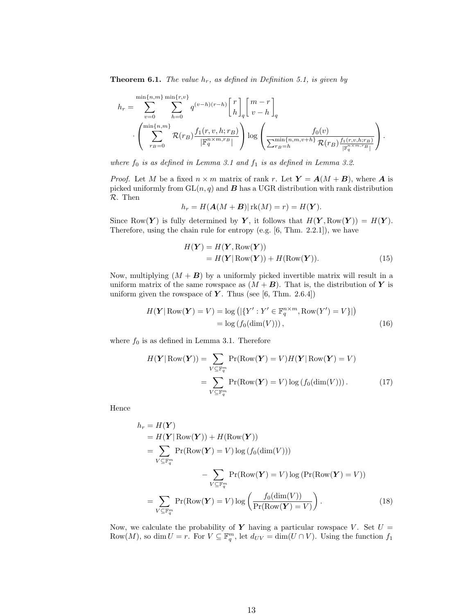**Theorem 6.1.** The value  $h_r$ , as defined in Definition 5.1, is given by

$$
h_r = \sum_{v=0}^{\min\{n,m\}} \sum_{h=0}^{\min\{r,v\}} q^{(v-h)(r-h)} \begin{bmatrix} r \\ h \end{bmatrix}_q {m-r \brack v-h}_q
$$

$$
\cdot \left( \sum_{r_B=0}^{\min\{n,m\}} \mathcal{R}(r_B) \frac{f_1(r,v,h;r_B)}{|\mathbb{F}_q^{n \times m,r_B}|} \right) \log \left( \frac{f_0(v)}{\sum_{r_B=h}^{\min\{n,m,v+h\}} \mathcal{R}(r_B) \frac{f_1(r,v,h;r_B)}{|\mathbb{F}_q^{n \times m,r_B}|}} \right).
$$

where  $f_0$  is as defined in Lemma 3.1 and  $f_1$  is as defined in Lemma 3.2.

*Proof.* Let M be a fixed  $n \times m$  matrix of rank r. Let  $Y = A(M + B)$ , where A is picked uniformly from  $GL(n, q)$  and **B** has a UGR distribution with rank distribution R. Then

$$
h_r = H(\mathbf{A}(M + \mathbf{B}) | \operatorname{rk}(M) = r) = H(\mathbf{Y}).
$$

Since Row $(Y)$  is fully determined by Y, it follows that  $H(Y, Row(Y)) = H(Y)$ . Therefore, using the chain rule for entropy (e.g. [6, Thm. 2.2.1]), we have

$$
H(\mathbf{Y}) = H(\mathbf{Y}, \text{Row}(\mathbf{Y}))
$$
  
=  $H(\mathbf{Y} | \text{Row}(\mathbf{Y})) + H(\text{Row}(\mathbf{Y})).$  (15)

Now, multiplying  $(M + B)$  by a uniformly picked invertible matrix will result in a uniform matrix of the same rowspace as  $(M + B)$ . That is, the distribution of Y is uniform given the rowspace of  $Y$ . Thus (see [6, Thm. 2.6.4])

$$
H(\mathbf{Y} | \operatorname{Row}(\mathbf{Y}) = V) = \log \left( |\{ Y' : Y' \in \mathbb{F}_q^{n \times m}, \operatorname{Row}(Y') = V \}| \right)
$$
  
= log (f<sub>0</sub>(dim(V))), (16)

where  $f_0$  is as defined in Lemma 3.1. Therefore

$$
H(\boldsymbol{Y} | \operatorname{Row}(\boldsymbol{Y})) = \sum_{V \subseteq \mathbb{F}_q^m} \operatorname{Pr}(\operatorname{Row}(\boldsymbol{Y}) = V) H(\boldsymbol{Y} | \operatorname{Row}(\boldsymbol{Y}) = V)
$$

$$
= \sum_{V \subseteq \mathbb{F}_q^m} \operatorname{Pr}(\operatorname{Row}(\boldsymbol{Y}) = V) \log (f_0(\dim(V))). \tag{17}
$$

Hence

$$
h_r = H(\mathbf{Y})
$$
  
\n
$$
= H(\mathbf{Y} | \text{Row}(\mathbf{Y})) + H(\text{Row}(\mathbf{Y}))
$$
  
\n
$$
= \sum_{V \subseteq \mathbb{F}_q^m} \Pr(\text{Row}(\mathbf{Y}) = V) \log (f_0(\text{dim}(V)))
$$
  
\n
$$
- \sum_{V \subseteq \mathbb{F}_q^m} \Pr(\text{Row}(\mathbf{Y}) = V) \log (\Pr(\text{Row}(\mathbf{Y}) = V))
$$
  
\n
$$
= \sum_{V \subseteq \mathbb{F}_q^m} \Pr(\text{Row}(\mathbf{Y}) = V) \log \left( \frac{f_0(\text{dim}(V))}{\Pr(\text{Row}(\mathbf{Y}) = V)} \right).
$$
 (18)

Now, we calculate the probability of Y having a particular rowspace V. Set  $U =$ Row $(M)$ , so dim  $U = r$ . For  $V \subseteq \mathbb{F}_q^m$ , let  $d_{UV} = \dim(U \cap V)$ . Using the function  $f_1$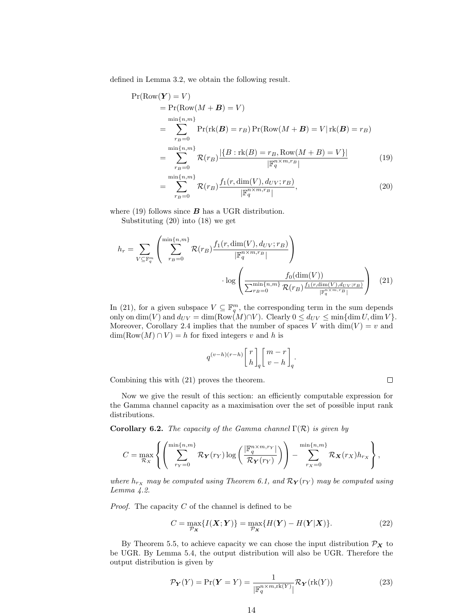defined in Lemma 3.2, we obtain the following result.

$$
\Pr(\text{Row}(\boldsymbol{Y}) = V) \n= \Pr(\text{Row}(M + B) = V) \n= \sum_{r_B=0}^{\min\{n,m\}} \Pr(\text{rk}(B) = r_B) \Pr(\text{Row}(M + B) = V | \text{rk}(B) = r_B) \n= \sum_{r_B=0}^{\min\{n,m\}} \mathcal{R}(r_B) \frac{|\{B : \text{rk}(B) = r_B, \text{Row}(M + B) = V\}|}{|\mathbb{F}_q^{n \times m, r_B}|} \n= \sum_{r_B=0}^{\min\{n,m\}} \mathcal{R}(r_B) \frac{f_1(r, \dim(V), d_{UV}; r_B)}{|\mathbb{F}_q^{n \times m, r_B}|},
$$
\n(20)

where (19) follows since  $\boldsymbol{B}$  has a UGR distribution.

Substituting (20) into (18) we get

$$
h_r = \sum_{V \subseteq \mathbb{F}_q^m} \left( \sum_{r_B=0}^{\min\{n,m\}} \mathcal{R}(r_B) \frac{f_1(r, \dim(V), d_{UV}; r_B)}{|\mathbb{F}_q^{m \times m, r_B}|} \right) \cdot \log \left( \frac{f_0(\dim(V))}{\sum_{r_B=0}^{\min\{n,m\}} \mathcal{R}(r_B) \frac{f_1(r, \dim(V), d_{UV}; r_B)}{|\mathbb{F}_q^{m \times m, r_B}|}} \right) \tag{21}
$$

In (21), for a given subspace  $V \subseteq \mathbb{F}_q^m$ , the corresponding term in the sum depends only on  $\dim(V)$  and  $d_{UV} = \dim(\text{Row}(M) \cap V)$ . Clearly  $0 \le d_{UV} \le \min{\dim U, \dim V}$ . Moreover, Corollary 2.4 implies that the number of spaces V with  $\dim(V) = v$  and  $\dim(\text{Row}(M) \cap V) = h$  for fixed integers v and h is

$$
q^{(v-h)(r-h)}{r \brack h}_q {m-r \brack v-h}_q.
$$

Combining this with (21) proves the theorem.

 $\Box$ 

Now we give the result of this section: an efficiently computable expression for the Gamma channel capacity as a maximisation over the set of possible input rank distributions.

Corollary 6.2. The capacity of the Gamma channel  $\Gamma(\mathcal{R})$  is given by

$$
C = \max_{\mathcal{R}_X} \left\{ \left( \sum_{r_Y=0}^{\min\{n,m\}} \mathcal{R}_Y(r_Y) \log \left( \frac{|\mathbb{F}_q^{n \times m, r_Y}|}{\mathcal{R}_Y(r_Y)} \right) \right) - \sum_{r_X=0}^{\min\{n,m\}} \mathcal{R}_X(r_X) h_{r_X} \right\},\right\}
$$

where  $h_{r_X}$  may be computed using Theorem 6.1, and  $\mathcal{R}_Y(r_Y)$  may be computed using Lemma 4.2.

*Proof.* The capacity  $C$  of the channel is defined to be

$$
C = \max_{\mathcal{P}_{\mathbf{X}}} \{ I(\mathbf{X}; \mathbf{Y}) \} = \max_{\mathcal{P}_{\mathbf{X}}} \{ H(\mathbf{Y}) - H(\mathbf{Y}|\mathbf{X}) \}.
$$
 (22)

By Theorem 5.5, to achieve capacity we can chose the input distribution  $\mathcal{P}_{\mathbf{X}}$  to be UGR. By Lemma 5.4, the output distribution will also be UGR. Therefore the output distribution is given by

$$
\mathcal{P}_{\mathbf{Y}}(Y) = \Pr(\mathbf{Y} = Y) = \frac{1}{\left|\mathbb{F}_q^{n \times m, \text{rk}(Y)}\right|} \mathcal{R}_{\mathbf{Y}}(\text{rk}(Y))
$$
\n(23)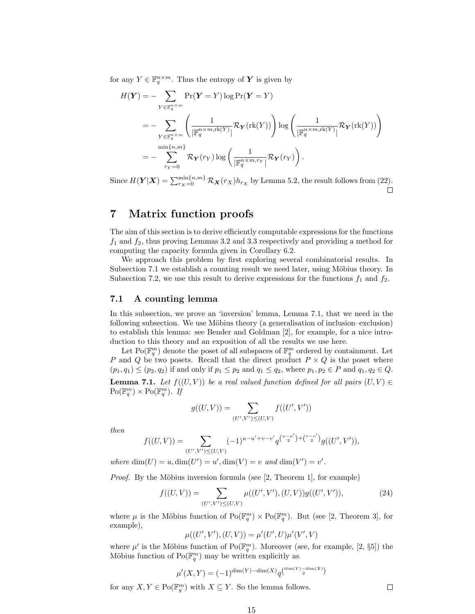for any  $Y \in \mathbb{F}_q^{n \times m}$ . Thus the entropy of  $Y$  is given by

$$
H(\mathbf{Y}) = -\sum_{Y \in \mathbb{F}_q^{n \times m}} \Pr(\mathbf{Y} = Y) \log \Pr(\mathbf{Y} = Y)
$$
  
= 
$$
-\sum_{Y \in \mathbb{F}_q^{n \times m}} \left( \frac{1}{|\mathbb{F}_q^{n \times m, \text{rk}(Y)}|} \mathcal{R}_{\mathbf{Y}}(\text{rk}(Y)) \right) \log \left( \frac{1}{|\mathbb{F}_q^{n \times m, \text{rk}(Y)}|} \mathcal{R}_{\mathbf{Y}}(\text{rk}(Y)) \right)
$$
  
= 
$$
-\sum_{r_Y=0}^{\min\{n, m\}} \mathcal{R}_{\mathbf{Y}}(r_Y) \log \left( \frac{1}{|\mathbb{F}_q^{n \times m, r_Y}|} \mathcal{R}_{\mathbf{Y}}(r_Y) \right).
$$

Since  $H(Y|X) = \sum_{r_X=0}^{\min\{n,m\}} \mathcal{R}_X(r_X) h_{r_X}$  by Lemma 5.2, the result follows from (22).

# 7 Matrix function proofs

The aim of this section is to derive efficiently computable expressions for the functions  $f_1$  and  $f_2$ , thus proving Lemmas 3.2 and 3.3 respectively and providing a method for computing the capacity formula given in Corollary 6.2.

We approach this problem by first exploring several combinatorial results. In Subsection 7.1 we establish a counting result we need later, using Möbius theory. In Subsection 7.2, we use this result to derive expressions for the functions  $f_1$  and  $f_2$ .

#### 7.1 A counting lemma

In this subsection, we prove an 'inversion' lemma, Lemma 7.1, that we need in the following subsection. We use Möbius theory (a generalisation of inclusion–exclusion) to establish this lemma: see Bender and Goldman [2], for example, for a nice introduction to this theory and an exposition of all the results we use here.

Let Po( $\mathbb{F}_q^m$ ) denote the poset of all subspaces of  $\mathbb{F}_q^m$  ordered by containment. Let P and Q be two posets. Recall that the direct product  $P \times Q$  is the poset where  $(p_1, q_1) \leq (p_2, q_2)$  if and only if  $p_1 \leq p_2$  and  $q_1 \leq q_2$ , where  $p_1, p_2 \in P$  and  $q_1, q_2 \in Q$ . **Lemma 7.1.** Let  $f((U, V))$  be a real valued function defined for all pairs  $(U, V) \in$  $Po(\mathbb{F}_q^m) \times Po(\mathbb{F}_q^m)$ . If

$$
g((U,V)) = \sum_{(U',V') \leq (U,V)} f((U',V'))
$$

then

$$
f((U,V)) = \sum_{(U',V') \leq (U,V)} (-1)^{u-u'+v-v'} q^{\binom{u-u'}{2} + \binom{v-v'}{2}} g((U',V')),
$$

where  $\dim(U) = u, \dim(U') = u', \dim(V) = v$  and  $\dim(V') = v'$ .

*Proof.* By the Möbius inversion formula (see  $[2,$  Theorem 1, for example)

$$
f((U,V)) = \sum_{(U',V') \leq (U,V)} \mu((U',V'),(U,V'))g((U',V')), \qquad (24)
$$

where  $\mu$  is the Möbius function of  $Po(\mathbb{F}_q^m) \times Po(\mathbb{F}_q^m)$ . But (see [2, Theorem 3], for example),

$$
\mu((U',V'),(U,V)) = \mu'(U',U)\mu'(V',V)
$$

where  $\mu'$  is the Möbius function of  $Po(\mathbb{F}_q^m)$ . Moreover (see, for example, [2, §5]) the Möbius function of  $Po(\mathbb{F}_q^m)$  may be written explicitly as

$$
\mu'(X,Y) = (-1)^{\dim(Y) - \dim(X)} q^{\dim(Y) - \dim(X) - \dim(X)}
$$

for any  $X, Y \in \text{Po}(\mathbb{F}_q^m)$  with  $X \subseteq Y$ . So the lemma follows.

 $\Box$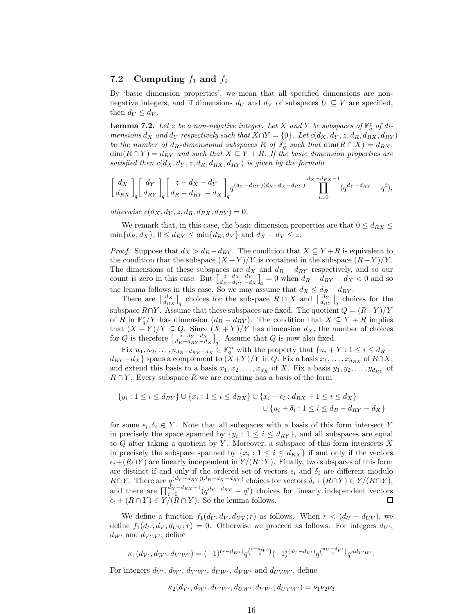#### 7.2 Computing  $f_1$  and  $f_2$

By 'basic dimension properties', we mean that all specified dimensions are nonnegative integers, and if dimensions  $d_U$  and  $d_V$  of subspaces  $U \subseteq V$  are specified, then  $d_U \leq d_V$ .

**Lemma 7.2.** Let z be a non-negative integer. Let X and Y be subspaces of  $\mathbb{F}_q^z$  of dimensions  $d_X$  and  $d_Y$  respectively such that  $X \cap Y = \{0\}$ . Let  $c(d_X, d_Y, z, d_R, d_{RX}, d_{RY})$ be the number of  $d_R$ -dimensional subspaces R of  $\mathbb{F}_q^z$  such that  $\dim(R \cap X) = d_{RX}$ ,  $\dim(R \cap Y) = d_{RY}$  and such that  $X \subseteq Y + R$ . If the basic dimension properties are satisfied then  $c(d_X, d_Y, z, d_R, d_{RX}, d_{RY})$  is given by the formula

$$
\begin{bmatrix} d_X \\ d_{RX} \end{bmatrix}_q \begin{bmatrix} d_Y \\ d_{RY} \end{bmatrix}_q \begin{bmatrix} z - d_X - d_Y \\ d_R - d_{RY} - d_X \end{bmatrix}_q q^{(d_Y - d_{RY})(d_R - d_X - d_{RY})} \prod_{i=0}^{d_X - d_{RX} - 1} (q^{d_Y - d_{RY}} - q^i),
$$

otherwise  $c(d_X, d_Y, z, d_R, d_{RX}, d_{RY}) = 0.$ 

We remark that, in this case, the basic dimension properties are that  $0 \le d_{RX} \le$  $\min\{d_R, d_X\}, 0 \leq d_{RY} \leq \min\{d_R, d_Y\}$  and  $d_X + d_Y \leq z$ .

*Proof.* Suppose that  $d_X > d_R - d_{RY}$ . The condition that  $X \subseteq Y + R$  is equivalent to the condition that the subspace  $(X + Y)/Y$  is contained in the subspace  $(R + Y)/Y$ . The dimensions of these subspaces are  $d_X$  and  $d_R - d_{RY}$  respectively, and so our count is zero in this case. But  $\left[\frac{z-d_X-d_Y}{d_R-d_{RY}-d_X}\right]_q = 0$  when  $d_R - d_{RY} - d_X < 0$  and so the lemma follows in this case. So we may assume that  $d_X \leq d_R - d_{RY}$ .

There are  $\begin{bmatrix} d_X \\ d_{RX} \end{bmatrix}_q$  choices for the subspace  $R \cap X$  and  $\begin{bmatrix} d_Y \\ d_{RY} \end{bmatrix}_q$  choices for the subspace  $R \cap Y$ . Assume that these subspaces are fixed. The quotient  $Q = (R+Y)/Y$ of R in  $\mathbb{F}_q^z/Y$  has dimension  $(d_R - d_{RY})$ . The condition that  $X \subseteq Y + R$  implies that  $(X + Y)/Y \subseteq Q$ . Since  $(X + Y)/Y$  has dimension  $d_X$ , the number of choices for Q is therefore  $\begin{bmatrix} z-d_Y-d_X \ d_R-d_Ry-d_X \end{bmatrix}_q$ . Assume that Q is now also fixed.

Fix  $u_1, u_2, \ldots, u_{d_R-d_{RY}-d_X} \in \mathbb{F}_q^m$  with the property that  $\{u_i + Y : 1 \leq i \leq d_R - d_H\}$  $d_{RY}-d_X$ } spans a complement to  $(\dot{X}+Y)/Y$  in Q. Fix a basis  $x_1, \ldots, x_{d_{RX}}$  of  $R \cap X$ , and extend this basis to a basis  $x_1, x_2, \ldots, x_{d_X}$  of X. Fix a basis  $y_1, y_2, \ldots, y_{d_{RY}}$  of  $R \cap Y$ . Every subspace R we are counting has a basis of the form

$$
\{y_i : 1 \le i \le d_{RY}\} \cup \{x_i : 1 \le i \le d_{RX}\} \cup \{x_i + \epsilon_i : d_{RX} + 1 \le i \le d_X\}
$$
  

$$
\cup \{u_i + \delta_i : 1 \le i \le d_R - d_{RY} - d_X\}
$$

for some  $\epsilon_i, \delta_i \in Y$ . Note that all subspaces with a basis of this form intersect Y in precisely the space spanned by  $\{y_i : 1 \leq i \leq d_{RY}\}$ , and all subspaces are equal to  $Q$  after taking a quotient by Y. Moreover, a subspace of this form intersects  $X$ in precisely the subspace spanned by  $\{x_i : 1 \leq i \leq d_{RX}\}\$ if and only if the vectors  $\epsilon_i+(R\cap Y)$  are linearly independent in  $Y / (R\cap Y)$ . Finally, two subspaces of this form are distinct if and only if the ordered set of vectors  $\epsilon_i$  and  $\delta_i$  are different modulo R∩Y. There are  $q^{(d_Y - d_{RY})(d_R - d_X - d_{RY})}$  choices for vectors  $\delta_i + (R \cap Y) \in Y/(R \cap Y)$ , and there are  $\prod_{i=0}^{d_X-d_{RX}-1} (q^{d_Y-d_{RY}} - q^i)$  choices for linearly independent vectors  $\epsilon_i + (R \cap Y) \in Y/(R \cap Y)$ . So the lemma follows.  $\Box$ 

We define a function  $f_1(d_U, d_V, d_{UV}; r)$  as follows. When  $r < (d_U - d_{UV})$ , we define  $f_1(d_U, d_V, d_{UV}; r) = 0$ . Otherwise we proceed as follows. For integers  $d_{V'}$ ,  $d_{W'}$  and  $d_{V'W'}$ , define

$$
\kappa_1(d_{V'}, d_{W'}, d_{V'W'}) = (-1)^{(r-d_{W'})} q^{{r-d_{W'}}} (-1)^{(d_V - d_{V'})} q^{{d_V - d_{V'}}} q^{nd_{V'W'}}.
$$

For integers  $d_V$ ,  $d_{W'}$ ,  $d_{V'W'}$ ,  $d_{UW'}$ ,  $d_{VW'}$  and  $d_{UVW'}$ , define

$$
\kappa_2(d_{V'}, d_{W'}, d_{V'W'}, d_{UW'}, d_{VW'}, d_{UVW'}) = \nu_1 \nu_2 \nu_3
$$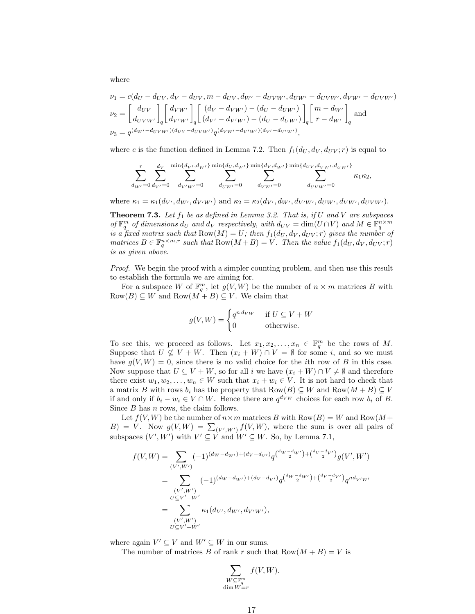where

$$
\nu_1 = c(d_U - d_{UV}, d_V - d_{UV}, m - d_{UV}, d_{W'} - d_{UVW'}, d_{UW'} - d_{UVW'}, d_{VW'} - d_{UVW'})
$$
  
\n
$$
\nu_2 = \begin{bmatrix} d_{UV} \\ d_{UVW'} \end{bmatrix} \begin{bmatrix} d_{VW'} \\ d_{V'W'} \end{bmatrix} \begin{bmatrix} (d_V - d_{VW'}) - (d_U - d_{UW'}) \\ (d_{V'} - d_{V'W'}) - (d_U - d_{UW'}) \end{bmatrix} \begin{bmatrix} m - d_{W'} \\ r - d_{W'} \end{bmatrix} \text{ and}
$$
  
\n
$$
\nu_3 = q^{(d_{W'} - d_{UVW'})(d_{UV} - d_{V'W'})} q^{(d_{VW'} - d_{V'W'})(d_{V'} - d_{V'W'})},
$$

where c is the function defined in Lemma 7.2. Then  $f_1(d_U, d_V, d_{UV}; r)$  is equal to

$$
\sum_{d_{W'}=0}^{r} \sum_{d_{V'}=0}^{d_{V}} \sum_{d_{V'W'}=0}^{\min\{d_{V'},d_{W'}\}} \sum_{d_{UW'}=0}^{\min\{d_{U},d_{W'}\}} \sum_{d_{VW'}=0}^{\min\{d_{V},d_{W'}\}} \sum_{d_{UW'}=0}^{\min\{d_{UV},d_{VW'},d_{UW'}\}} \kappa_{1}\kappa_{2},
$$

where  $\kappa_1 = \kappa_1(d_{V'}, d_{W'}, d_{V'W'})$  and  $\kappa_2 = \kappa_2(d_{V'}, d_{W'}, d_{V'W'}, d_{UW'}, d_{VW'}, d_{VW''})$ .

**Theorem 7.3.** Let  $f_1$  be as defined in Lemma 3.2. That is, if U and V are subspaces of  $\mathbb{F}_q^m$  of dimensions  $d_U$  and  $d_V$  respectively, with  $d_{UV} = \dim(U \cap V)$  and  $M \in \mathbb{F}_q^{n \times m}$ is a fixed matrix such that  $Row(M) = U$ ; then  $f_1(d_U, d_V, d_{UV}; r)$  gives the number of matrices  $B \in \mathbb{F}_q^{n \times m,r}$  such that  $Row(M+B) = V$ . Then the value  $f_1(d_U, d_V, d_{UV}; r)$ is as given above.

Proof. We begin the proof with a simpler counting problem, and then use this result to establish the formula we are aiming for.

For a subspace W of  $\mathbb{F}_q^m$ , let  $g(V, W)$  be the number of  $n \times m$  matrices B with  $Row(B) \subseteq W$  and  $Row(M + B) \subseteq V$ . We claim that

$$
g(V, W) = \begin{cases} q^{n \, d_{VW}} & \text{if } U \subseteq V + W \\ 0 & \text{otherwise.} \end{cases}
$$

To see this, we proceed as follows. Let  $x_1, x_2, \ldots, x_n \in \mathbb{F}_q^m$  be the rows of M. Suppose that  $U \not\subseteq V + W$ . Then  $(x_i + W) \cap V = \emptyset$  for some i, and so we must have  $g(V, W) = 0$ , since there is no valid choice for the *i*th row of *B* in this case. Now suppose that  $U \subseteq V + W$ , so for all i we have  $(x_i + W) \cap V \neq \emptyset$  and therefore there exist  $w_1, w_2, \ldots, w_n \in W$  such that  $x_i + w_i \in V$ . It is not hard to check that a matrix B with rows  $b_i$  has the property that  $Row(B) \subseteq W$  and  $Row(M + B) \subseteq V$ if and only if  $b_i - w_i \in V \cap W$ . Hence there are  $q^{d_V w}$  choices for each row  $b_i$  of B. Since  $B$  has  $n$  rows, the claim follows.

Let  $f(V, W)$  be the number of  $n \times m$  matrices B with  $Row(B) = W$  and  $Row(M +$  $B) = V$ . Now  $g(V, W) = \sum_{(V', W')} f(V, W)$ , where the sum is over all pairs of subspaces  $(V', W')$  with  $V' \subseteq V$  and  $W' \subseteq W$ . So, by Lemma 7.1,

$$
f(V, W) = \sum_{(V', W')} (-1)^{(dw - d_{W'}) + (d_V - d_{V'})} q^{(d_W - d_W') + (d_V - d_{V'})} g(V', W')
$$
  
\n
$$
= \sum_{(V', W')} (-1)^{(dw - d_{W'}) + (d_V - d_{V'})} q^{(d_W - d_W') + (d_V - d_{V'})} q^{nd_{V'W'}}
$$
  
\n
$$
= \sum_{(V', W')} \kappa_1(d_{V'}, d_{W'}, d_{V'W'}),
$$
  
\n
$$
U \subseteq V' + W'
$$

where again  $V' \subseteq V$  and  $W' \subseteq W$  in our sums.

The number of matrices B of rank r such that  $Row(M + B) = V$  is

$$
\sum_{\substack{W \subseteq \mathbb{F}_q^m \\ \dim W = r}} f(V, W).
$$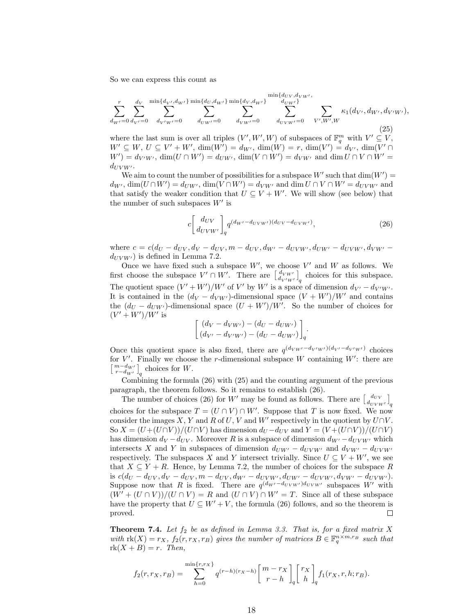So we can express this count as

$$
\sum_{d_{W'}=0}^{r} \sum_{d_{V'}=0}^{d_{V}} \sum_{d_{V'W'}=0}^{\min\{d_{V'},d_{W'}\}} \sum_{d_{UW'}=0}^{\min\{d_{U},d_{W'}\}} \sum_{d_{VW'}=0}^{\min\{d_{U},d_{W'}\}} \sum_{d_{VW'}=0}^{\min\{d_{UV},d_{VW'}\}} \sum_{V',W',W} \kappa_{1}(d_{V'},d_{W'},d_{V'W'},\n\tag{25}
$$
\nwhere the last sum is over all triples  $(V',W',W)$  of subspaces of  $\mathbb{F}^{m}$  with  $V' \subset V$ .

where the last sum is over all triples  $(V', W', W)$  of subspaces of  $\mathbb{F}_q^m$  with  $V' \subseteq V$ ,  $W' \subseteq W, U \subseteq V' + W', \, \dim(W') = d_{W'}, \, \dim(W) = r, \, \dim(V') = d_{V'}, \, \dim(V' \cap$  $W' = d_{V'W'}$ ,  $\dim(U \cap W') = d_{UW'}$ ,  $\dim(V \cap W') = d_{VW'}$  and  $\dim U \cap V \cap W' =$  $d_{UVW'}$ .

We aim to count the number of possibilities for a subspace  $W'$  such that  $dim(W') =$  $d_{W'}$ ,  $\dim(U \cap W') = d_{UW'}$ ,  $\dim(V \cap W') = d_{VW'}$  and  $\dim U \cap V \cap W' = d_{UVW'}$  and that satisfy the weaker condition that  $U \subseteq V + W'$ . We will show (see below) that the number of such subspaces  $W'$  is

$$
c \left[ \frac{d_{UV}}{d_{UVW'}} \right]_q q^{(d_{W'} - d_{UVW'}) (d_{UV} - d_{UVW'})}, \tag{26}
$$

where  $c = c(d_U - d_{UV}, d_V - d_{UV}, m - d_{UV}, d_{W'} - d_{UVW}, d_{UW'} - d_{UVW}, d_{VW'}$  $d_{UVW'}$  is defined in Lemma 7.2.

Once we have fixed such a subspace  $W'$ , we choose  $V'$  and  $W$  as follows. We first choose the subspace  $V' \cap W'$ . There are  $\begin{bmatrix} d_{V'W'} \\ d_{V'W'} \end{bmatrix}_q$  choices for this subspace. The quotient space  $(V' + W')/W'$  of V' by W' is a space of dimension  $d_{V'} - d_{V'W'}$ . It is contained in the  $(d_V - d_{VW'})$ -dimensional space  $(V + W')/W'$  and contains the  $(d_U - d_{UW})$ -dimensional space  $(U + W')/W'$ . So the number of choices for  $(V' + W')/W'$  is

$$
\begin{bmatrix}\n(d_V - d_{VW'}) - (d_U - d_{UW'}) \\
(d_{V'} - d_{V'W'}) - (d_U - d_{UW'})\n\end{bmatrix}_q.
$$

Once this quotient space is also fixed, there are  $q^{(d_{VW'}-d_{V'W'})}(d_{V'}-d_{V'W'})$  choices for  $V'$ . Finally we choose the r-dimensional subspace W containing  $W'$ : there are  $\left[\begin{array}{c} m-d_{W'} \\ r-d_{W'} \end{array}\right]_q$  choices for W.

Combining the formula (26) with (25) and the counting argument of the previous paragraph, the theorem follows. So it remains to establish (26).

The number of choices (26) for W' may be found as follows. There are  $\begin{bmatrix} d_{UV} \\ d_{UVW'} \end{bmatrix}_q$ choices for the subspace  $T = (U \cap V) \cap W'$ . Suppose that T is now fixed. We now consider the images X, Y and R of U, V and W' respectively in the quotient by  $U \cap V$ . So  $X = (U+(U\cap V))/(U\cap V)$  has dimension  $d_U - d_{UV}$  and  $Y = (V+(U\cap V))/(U\cap V)$ has dimension  $d_V - d_{UV}$ . Moreover R is a subspace of dimension  $d_{W'} - d_{UVW'}$  which intersects X and Y in subspaces of dimension  $d_{UW'} - d_{UVW'}$  and  $d_{VW'} - d_{UVW'}$ respectively. The subspaces X and Y intersect trivially. Since  $U \subseteq V + W'$ , we see that  $X \subseteq Y + R$ . Hence, by Lemma 7.2, the number of choices for the subspace R is  $c(d_U - d_{UV}, d_V - d_{UV}, m - d_{UV}, d_{W'} - d_{UVW'}, d_{UW'} - d_{UVW}, d_{VW'} - d_{UVW'}).$ Suppose now that R is fixed. There are  $q^{(d_W - d_{UVW'})d_{UVW'}}$  subspaces W' with  $(W' + (U \cap V))/(U \cap V) = R$  and  $(U \cap V) \cap W' = T$ . Since all of these subspace have the property that  $U \subseteq W' + V$ , the formula (26) follows, and so the theorem is proved.  $\Box$ 

**Theorem 7.4.** Let  $f_2$  be as defined in Lemma 3.3. That is, for a fixed matrix X with  $\text{rk}(X) = r_X$ ,  $f_2(r, r_X, r_B)$  gives the number of matrices  $B \in \mathbb{F}_q^{n \times m, r_B}$  such that  $rk(X + B) = r$ . Then,

$$
f_2(r,r_X,r_B) = \sum_{h=0}^{\min\{r,r_X\}} q^{(r-h)(r_X-h)} \begin{bmatrix} m-r_X \\ r-h \end{bmatrix} \begin{bmatrix} r_X \\ h \end{bmatrix} f_1(r_X,r,h;r_B).
$$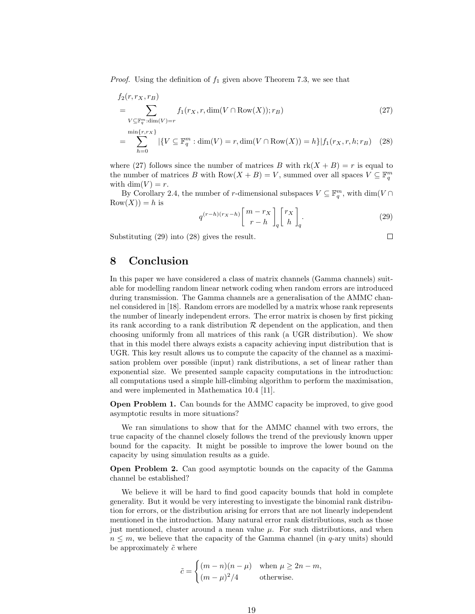*Proof.* Using the definition of  $f_1$  given above Theorem 7.3, we see that

$$
f_2(r, r_X, r_B)
$$
  
= 
$$
\sum_{V \subseteq \mathbb{F}_q^m : \dim(V) = r} f_1(r_X, r, \dim(V \cap \text{Row}(X)); r_B)
$$
  
= 
$$
\sum_{h=0}^{\min\{r, r_X\}} |\{V \subseteq \mathbb{F}_q^m : \dim(V) = r, \dim(V \cap \text{Row}(X)) = h\}| f_1(r_X, r, h; r_B)
$$
 (28)

where (27) follows since the number of matrices B with  $rk(X + B) = r$  is equal to the number of matrices B with  $Row(X + B) = V$ , summed over all spaces  $V \subseteq \mathbb{F}_q^m$ with dim(V) =  $r$ .

By Corollary 2.4, the number of r-dimensional subspaces  $V \subseteq \mathbb{F}_q^m$ , with  $\dim(V \cap$  $Row(X)) = h$  is

$$
q^{(r-h)(rx-h)}\begin{bmatrix}m-r_X\\r-h\end{bmatrix}_q\begin{bmatrix}r_X\\h\end{bmatrix}_q.
$$
 (29)

Substituting (29) into (28) gives the result.

 $\Box$ 

# 8 Conclusion

In this paper we have considered a class of matrix channels (Gamma channels) suitable for modelling random linear network coding when random errors are introduced during transmission. The Gamma channels are a generalisation of the AMMC channel considered in [18]. Random errors are modelled by a matrix whose rank represents the number of linearly independent errors. The error matrix is chosen by first picking its rank according to a rank distribution  $\mathcal R$  dependent on the application, and then choosing uniformly from all matrices of this rank (a UGR distribution). We show that in this model there always exists a capacity achieving input distribution that is UGR. This key result allows us to compute the capacity of the channel as a maximisation problem over possible (input) rank distributions, a set of linear rather than exponential size. We presented sample capacity computations in the introduction: all computations used a simple hill-climbing algorithm to perform the maximisation, and were implemented in Mathematica 10.4 [11].

**Open Problem 1.** Can bounds for the AMMC capacity be improved, to give good asymptotic results in more situations?

We ran simulations to show that for the AMMC channel with two errors, the true capacity of the channel closely follows the trend of the previously known upper bound for the capacity. It might be possible to improve the lower bound on the capacity by using simulation results as a guide.

Open Problem 2. Can good asymptotic bounds on the capacity of the Gamma channel be established?

We believe it will be hard to find good capacity bounds that hold in complete generality. But it would be very interesting to investigate the binomial rank distribution for errors, or the distribution arising for errors that are not linearly independent mentioned in the introduction. Many natural error rank distributions, such as those just mentioned, cluster around a mean value  $\mu$ . For such distributions, and when  $n \leq m$ , we believe that the capacity of the Gamma channel (in q-ary units) should be approximately  $\tilde{c}$  where

$$
\tilde{c} = \begin{cases} (m-n)(n-\mu) & \text{when } \mu \ge 2n-m, \\ (m-\mu)^2/4 & \text{otherwise.} \end{cases}
$$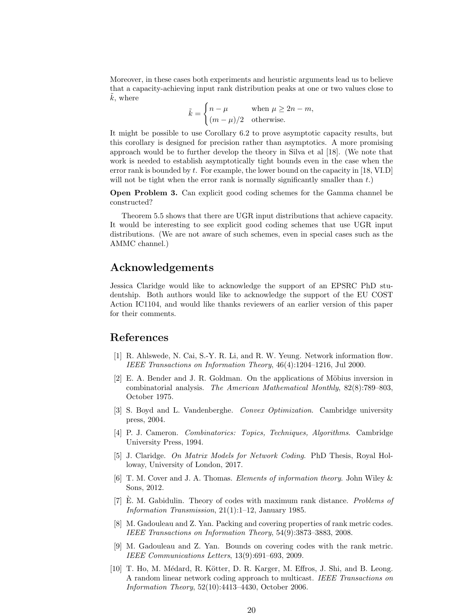Moreover, in these cases both experiments and heuristic arguments lead us to believe that a capacity-achieving input rank distribution peaks at one or two values close to  $k$ , where

$$
\tilde{k} = \begin{cases} n - \mu & \text{when } \mu \ge 2n - m, \\ (m - \mu)/2 & \text{otherwise.} \end{cases}
$$

It might be possible to use Corollary 6.2 to prove asymptotic capacity results, but this corollary is designed for precision rather than asymptotics. A more promising approach would be to further develop the theory in Silva et al [18]. (We note that work is needed to establish asymptotically tight bounds even in the case when the error rank is bounded by t. For example, the lower bound on the capacity in [18, VI.D] will not be tight when the error rank is normally significantly smaller than  $t$ .)

Open Problem 3. Can explicit good coding schemes for the Gamma channel be constructed?

Theorem 5.5 shows that there are UGR input distributions that achieve capacity. It would be interesting to see explicit good coding schemes that use UGR input distributions. (We are not aware of such schemes, even in special cases such as the AMMC channel.)

# Acknowledgements

Jessica Claridge would like to acknowledge the support of an EPSRC PhD studentship. Both authors would like to acknowledge the support of the EU COST Action IC1104, and would like thanks reviewers of an earlier version of this paper for their comments.

# References

- [1] R. Ahlswede, N. Cai, S.-Y. R. Li, and R. W. Yeung. Network information flow. IEEE Transactions on Information Theory, 46(4):1204–1216, Jul 2000.
- $[2]$  E. A. Bender and J. R. Goldman. On the applications of Möbius inversion in combinatorial analysis. The American Mathematical Monthly, 82(8):789–803, October 1975.
- [3] S. Boyd and L. Vandenberghe. Convex Optimization. Cambridge university press, 2004.
- [4] P. J. Cameron. Combinatorics: Topics, Techniques, Algorithms. Cambridge University Press, 1994.
- [5] J. Claridge. On Matrix Models for Network Coding. PhD Thesis, Royal Holloway, University of London, 2017.
- [6] T. M. Cover and J. A. Thomas. Elements of information theory. John Wiley & Sons, 2012.
- $[7]$  E. M. Gabidulin. Theory of codes with maximum rank distance. Problems of Information Transmission, 21(1):1–12, January 1985.
- [8] M. Gadouleau and Z. Yan. Packing and covering properties of rank metric codes. IEEE Transactions on Information Theory, 54(9):3873–3883, 2008.
- [9] M. Gadouleau and Z. Yan. Bounds on covering codes with the rank metric. IEEE Communications Letters, 13(9):691–693, 2009.
- [10] T. Ho, M. Médard, R. Kötter, D. R. Karger, M. Effros, J. Shi, and B. Leong. A random linear network coding approach to multicast. IEEE Transactions on Information Theory, 52(10):4413–4430, October 2006.